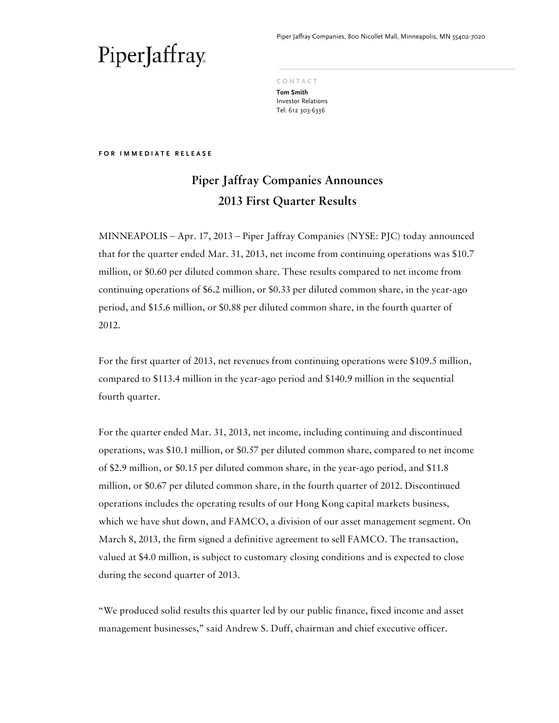Piper Jaffray Companies, 800 Nicollet Mall, Minneapolis, MN 55402-7020

**C O N T A C T** 

**Tom Smith**  Investor Relations Tel: 612 303-6336

**FOR IMMEDIATE RELEASE** 

### **Piper Jaffray Companies Announces 2013 First Quarter Results**

MINNEAPOLIS – Apr. 17, 2013 – Piper Jaffray Companies (NYSE: PJC) today announced that for the quarter ended Mar. 31, 2013, net income from continuing operations was \$10.7 million, or \$0.60 per diluted common share. These results compared to net income from continuing operations of \$6.2 million, or \$0.33 per diluted common share, in the year-ago period, and \$15.6 million, or \$0.88 per diluted common share, in the fourth quarter of 2012.

For the first quarter of 2013, net revenues from continuing operations were \$109.5 million, compared to \$113.4 million in the year-ago period and \$140.9 million in the sequential fourth quarter.

For the quarter ended Mar. 31, 2013, net income, including continuing and discontinued operations, was \$10.1 million, or \$0.57 per diluted common share, compared to net income of \$2.9 million, or \$0.15 per diluted common share, in the year-ago period, and \$11.8 million, or \$0.67 per diluted common share, in the fourth quarter of 2012. Discontinued operations includes the operating results of our Hong Kong capital markets business, which we have shut down, and FAMCO, a division of our asset management segment. On March 8, 2013, the firm signed a definitive agreement to sell FAMCO. The transaction, valued at \$4.0 million, is subject to customary closing conditions and is expected to close during the second quarter of 2013.

"We produced solid results this quarter led by our public finance, fixed income and asset management businesses," said Andrew S. Duff, chairman and chief executive officer.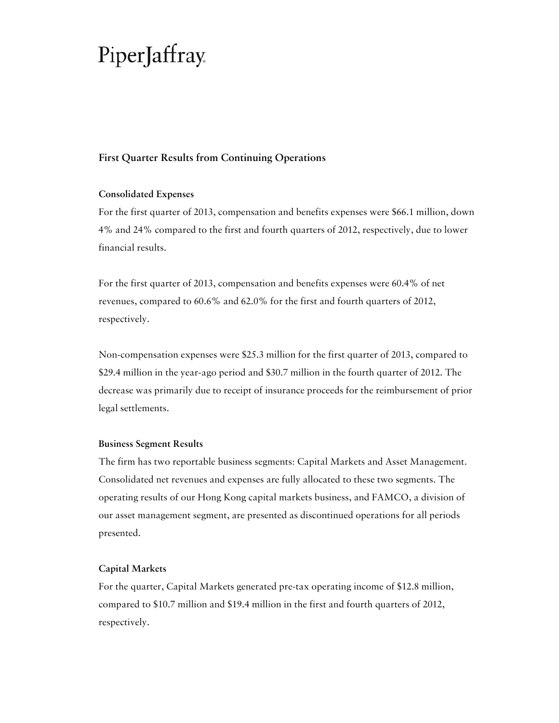### **First Quarter Results from Continuing Operations**

#### **Consolidated Expenses**

For the first quarter of 2013, compensation and benefits expenses were \$66.1 million, down 4% and 24% compared to the first and fourth quarters of 2012, respectively, due to lower financial results.

For the first quarter of 2013, compensation and benefits expenses were 60.4% of net revenues, compared to 60.6% and 62.0% for the first and fourth quarters of 2012, respectively.

Non-compensation expenses were \$25.3 million for the first quarter of 2013, compared to \$29.4 million in the year-ago period and \$30.7 million in the fourth quarter of 2012. The decrease was primarily due to receipt of insurance proceeds for the reimbursement of prior legal settlements.

### **Business Segment Results**

The firm has two reportable business segments: Capital Markets and Asset Management. Consolidated net revenues and expenses are fully allocated to these two segments. The operating results of our Hong Kong capital markets business, and FAMCO, a division of our asset management segment, are presented as discontinued operations for all periods presented.

### **Capital Markets**

For the quarter, Capital Markets generated pre-tax operating income of \$12.8 million, compared to \$10.7 million and \$19.4 million in the first and fourth quarters of 2012, respectively.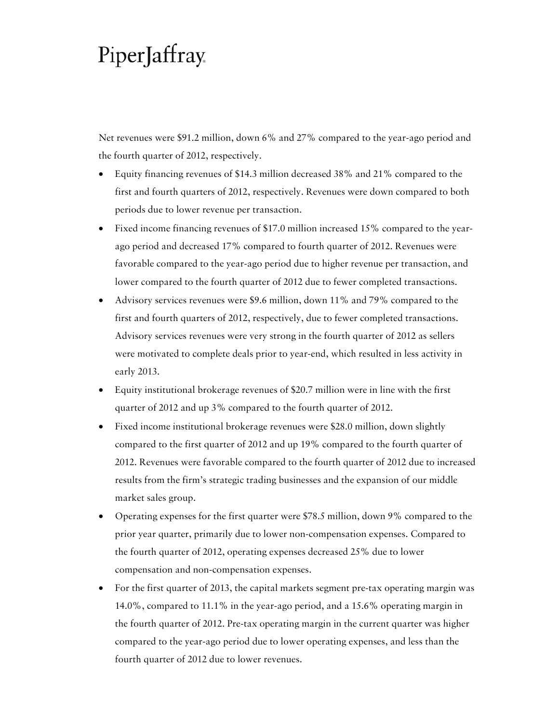Net revenues were \$91.2 million, down 6% and 27% compared to the year-ago period and the fourth quarter of 2012, respectively.

- Equity financing revenues of \$14.3 million decreased 38% and 21% compared to the first and fourth quarters of 2012, respectively. Revenues were down compared to both periods due to lower revenue per transaction.
- Fixed income financing revenues of \$17.0 million increased 15% compared to the yearago period and decreased 17% compared to fourth quarter of 2012. Revenues were favorable compared to the year-ago period due to higher revenue per transaction, and lower compared to the fourth quarter of 2012 due to fewer completed transactions.
- Advisory services revenues were \$9.6 million, down 11% and 79% compared to the first and fourth quarters of 2012, respectively, due to fewer completed transactions. Advisory services revenues were very strong in the fourth quarter of 2012 as sellers were motivated to complete deals prior to year-end, which resulted in less activity in early 2013.
- Equity institutional brokerage revenues of \$20.7 million were in line with the first quarter of 2012 and up 3% compared to the fourth quarter of 2012.
- Fixed income institutional brokerage revenues were \$28.0 million, down slightly compared to the first quarter of 2012 and up 19% compared to the fourth quarter of 2012. Revenues were favorable compared to the fourth quarter of 2012 due to increased results from the firm's strategic trading businesses and the expansion of our middle market sales group.
- Operating expenses for the first quarter were \$78.5 million, down 9% compared to the prior year quarter, primarily due to lower non-compensation expenses. Compared to the fourth quarter of 2012, operating expenses decreased 25% due to lower compensation and non-compensation expenses.
- For the first quarter of 2013, the capital markets segment pre-tax operating margin was 14.0%, compared to 11.1% in the year-ago period, and a 15.6% operating margin in the fourth quarter of 2012. Pre-tax operating margin in the current quarter was higher compared to the year-ago period due to lower operating expenses, and less than the fourth quarter of 2012 due to lower revenues.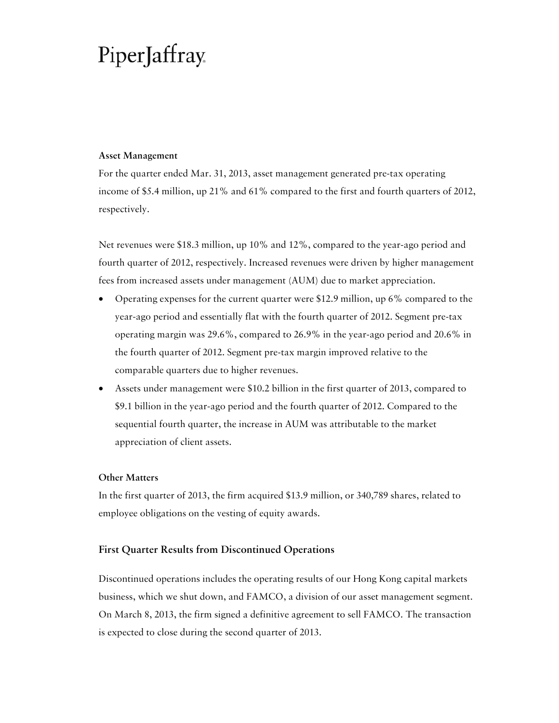#### **Asset Management**

For the quarter ended Mar. 31, 2013, asset management generated pre-tax operating income of \$5.4 million, up 21% and 61% compared to the first and fourth quarters of 2012, respectively.

Net revenues were \$18.3 million, up 10% and 12%, compared to the year-ago period and fourth quarter of 2012, respectively. Increased revenues were driven by higher management fees from increased assets under management (AUM) due to market appreciation.

- Operating expenses for the current quarter were \$12.9 million, up 6% compared to the year-ago period and essentially flat with the fourth quarter of 2012. Segment pre-tax operating margin was 29.6%, compared to 26.9% in the year-ago period and 20.6% in the fourth quarter of 2012. Segment pre-tax margin improved relative to the comparable quarters due to higher revenues.
- Assets under management were \$10.2 billion in the first quarter of 2013, compared to \$9.1 billion in the year-ago period and the fourth quarter of 2012. Compared to the sequential fourth quarter, the increase in AUM was attributable to the market appreciation of client assets.

### **Other Matters**

In the first quarter of 2013, the firm acquired \$13.9 million, or 340,789 shares, related to employee obligations on the vesting of equity awards.

### **First Quarter Results from Discontinued Operations**

Discontinued operations includes the operating results of our Hong Kong capital markets business, which we shut down, and FAMCO, a division of our asset management segment. On March 8, 2013, the firm signed a definitive agreement to sell FAMCO. The transaction is expected to close during the second quarter of 2013.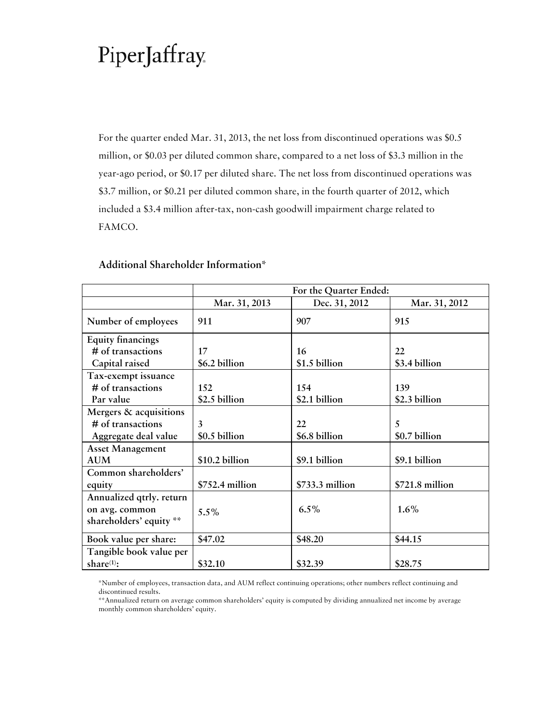For the quarter ended Mar. 31, 2013, the net loss from discontinued operations was \$0.5 million, or \$0.03 per diluted common share, compared to a net loss of \$3.3 million in the year-ago period, or \$0.17 per diluted share. The net loss from discontinued operations was \$3.7 million, or \$0.21 per diluted common share, in the fourth quarter of 2012, which included a \$3.4 million after-tax, non-cash goodwill impairment charge related to FAMCO.

|  |  | <b>Additional Shareholder Information*</b> |
|--|--|--------------------------------------------|
|--|--|--------------------------------------------|

|                          | For the Quarter Ended: |                 |                 |  |  |  |  |
|--------------------------|------------------------|-----------------|-----------------|--|--|--|--|
|                          | Mar. 31, 2013          | Dec. 31, 2012   | Mar. 31, 2012   |  |  |  |  |
| Number of employees      | 911                    | 907             | 915             |  |  |  |  |
| <b>Equity financings</b> |                        |                 |                 |  |  |  |  |
| # of transactions        | 17                     | 16              | 22              |  |  |  |  |
| Capital raised           | \$6.2 billion          | \$1.5 billion   | \$3.4 billion   |  |  |  |  |
| Tax-exempt issuance      |                        |                 |                 |  |  |  |  |
| # of transactions        | 152                    | 154             | 139             |  |  |  |  |
| Par value                | \$2.5 billion          | \$2.1 billion   | \$2.3 billion   |  |  |  |  |
| Mergers & acquisitions   |                        |                 |                 |  |  |  |  |
| # of transactions        | 3                      | 22              | 5               |  |  |  |  |
| Aggregate deal value     | \$0.5 billion          | \$6.8 billion   | \$0.7 billion   |  |  |  |  |
| <b>Asset Management</b>  |                        |                 |                 |  |  |  |  |
| <b>AUM</b>               | \$10.2 billion         | \$9.1 billion   | \$9.1 billion   |  |  |  |  |
| Common shareholders'     |                        |                 |                 |  |  |  |  |
| equity                   | \$752.4 million        | \$733.3 million | \$721.8 million |  |  |  |  |
| Annualized qtrly. return |                        |                 |                 |  |  |  |  |
| on avg. common           | $5.5\%$                | $6.5\%$         | $1.6\%$         |  |  |  |  |
| shareholders' equity **  |                        |                 |                 |  |  |  |  |
| Book value per share:    | \$47.02                | \$48.20         | \$44.15         |  |  |  |  |
| Tangible book value per  |                        |                 |                 |  |  |  |  |
| share $(1)$ :            | \$32.10                | \$32.39         | \$28.75         |  |  |  |  |

\*Number of employees, transaction data, and AUM reflect continuing operations; other numbers reflect continuing and discontinued results.

\*\*Annualized return on average common shareholders' equity is computed by dividing annualized net income by average monthly common shareholders' equity.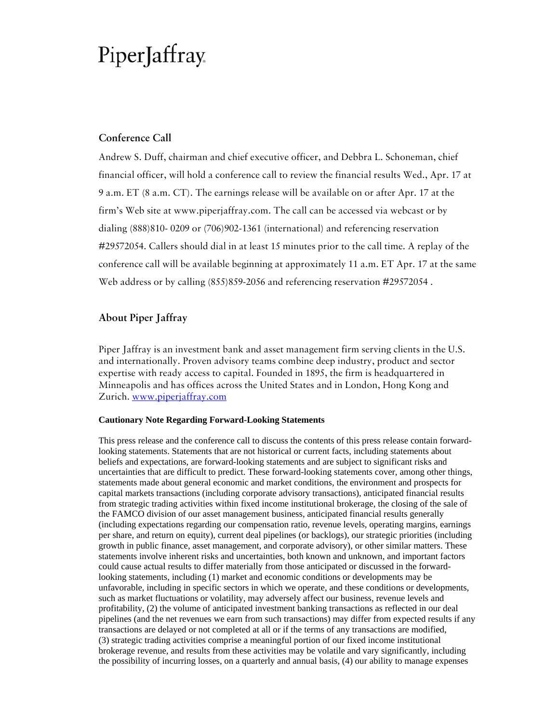### **Conference Call**

Andrew S. Duff, chairman and chief executive officer, and Debbra L. Schoneman, chief financial officer, will hold a conference call to review the financial results Wed., Apr. 17 at 9 a.m. ET (8 a.m. CT). The earnings release will be available on or after Apr. 17 at the firm's Web site at www.piperjaffray.com. The call can be accessed via webcast or by dialing (888)810- 0209 or (706)902-1361 (international) and referencing reservation #29572054. Callers should dial in at least 15 minutes prior to the call time. A replay of the conference call will be available beginning at approximately 11 a.m. ET Apr. 17 at the same Web address or by calling (855)859-2056 and referencing reservation #29572054 .

### **About Piper Jaffray**

Piper Jaffray is an investment bank and asset management firm serving clients in the U.S. and internationally. Proven advisory teams combine deep industry, product and sector expertise with ready access to capital. Founded in 1895, the firm is headquartered in Minneapolis and has offices across the United States and in London, Hong Kong and Zurich. www.piperjaffray.com

#### **Cautionary Note Regarding Forward-Looking Statements**

This press release and the conference call to discuss the contents of this press release contain forwardlooking statements. Statements that are not historical or current facts, including statements about beliefs and expectations, are forward-looking statements and are subject to significant risks and uncertainties that are difficult to predict. These forward-looking statements cover, among other things, statements made about general economic and market conditions, the environment and prospects for capital markets transactions (including corporate advisory transactions), anticipated financial results from strategic trading activities within fixed income institutional brokerage, the closing of the sale of the FAMCO division of our asset management business, anticipated financial results generally (including expectations regarding our compensation ratio, revenue levels, operating margins, earnings per share, and return on equity), current deal pipelines (or backlogs), our strategic priorities (including growth in public finance, asset management, and corporate advisory), or other similar matters. These statements involve inherent risks and uncertainties, both known and unknown, and important factors could cause actual results to differ materially from those anticipated or discussed in the forwardlooking statements, including (1) market and economic conditions or developments may be unfavorable, including in specific sectors in which we operate, and these conditions or developments, such as market fluctuations or volatility, may adversely affect our business, revenue levels and profitability, (2) the volume of anticipated investment banking transactions as reflected in our deal pipelines (and the net revenues we earn from such transactions) may differ from expected results if any transactions are delayed or not completed at all or if the terms of any transactions are modified, (3) strategic trading activities comprise a meaningful portion of our fixed income institutional brokerage revenue, and results from these activities may be volatile and vary significantly, including the possibility of incurring losses, on a quarterly and annual basis, (4) our ability to manage expenses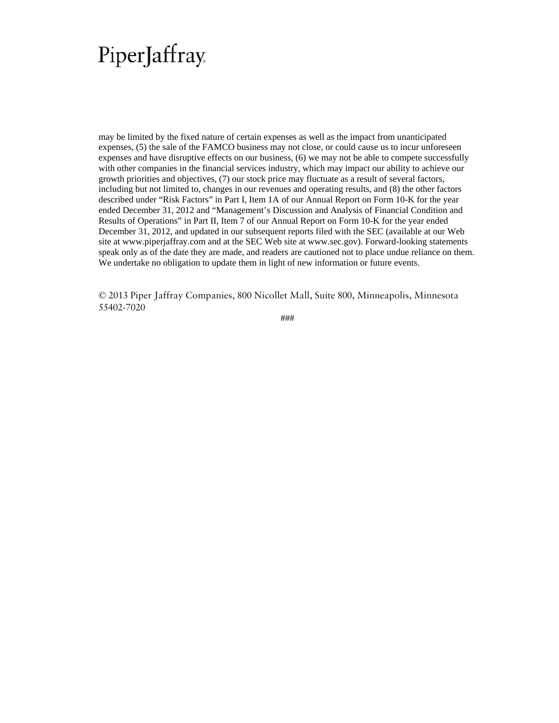may be limited by the fixed nature of certain expenses as well as the impact from unanticipated expenses, (5) the sale of the FAMCO business may not close, or could cause us to incur unforeseen expenses and have disruptive effects on our business, (6) we may not be able to compete successfully with other companies in the financial services industry, which may impact our ability to achieve our growth priorities and objectives, (7) our stock price may fluctuate as a result of several factors, including but not limited to, changes in our revenues and operating results, and (8) the other factors described under "Risk Factors" in Part I, Item 1A of our Annual Report on Form 10-K for the year ended December 31, 2012 and "Management's Discussion and Analysis of Financial Condition and Results of Operations" in Part II, Item 7 of our Annual Report on Form 10-K for the year ended December 31, 2012, and updated in our subsequent reports filed with the SEC (available at our Web site at www.piperjaffray.com and at the SEC Web site at www.sec.gov). Forward-looking statements speak only as of the date they are made, and readers are cautioned not to place undue reliance on them. We undertake no obligation to update them in light of new information or future events.

© 2013 Piper Jaffray Companies, 800 Nicollet Mall, Suite 800, Minneapolis, Minnesota 55402-7020

###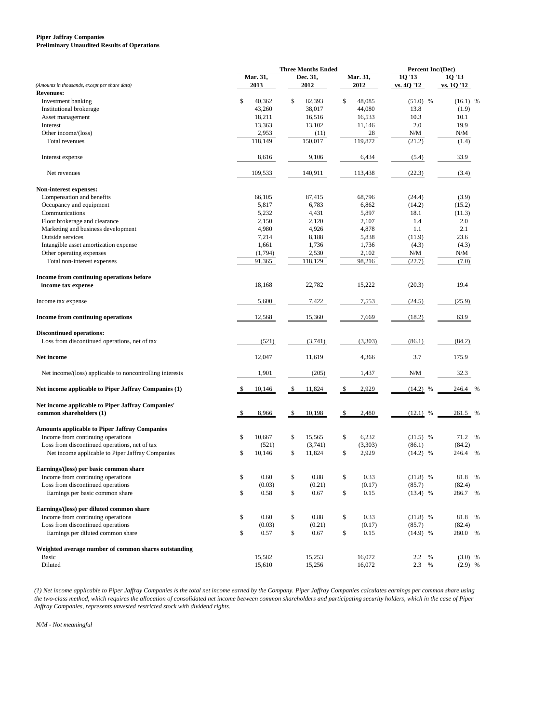#### **Piper Jaffray Companies Preliminary Unaudited Results of Operations**

|                                                          | <b>Three Months Ended</b>        |                                  |                              | Percent Inc/(Dec) |            |  |  |
|----------------------------------------------------------|----------------------------------|----------------------------------|------------------------------|-------------------|------------|--|--|
|                                                          | Mar. 31,                         | Dec. 31,                         | Mar. 31,                     | 1Q '13            | 1Q '13     |  |  |
| (Amounts in thousands, except per share data)            | 2013                             | 2012                             | 2012                         | vs. 4Q '12        | vs. 1Q '12 |  |  |
| <b>Revenues:</b>                                         |                                  |                                  |                              |                   |            |  |  |
| Investment banking                                       | \$<br>40,362                     | \$<br>82,393                     | \$<br>48,085                 | $(51.0)$ %        | $(16.1)$ % |  |  |
| Institutional brokerage                                  | 43,260                           | 38,017                           | 44,080                       | 13.8              | (1.9)      |  |  |
| Asset management                                         | 18,211                           | 16,516                           | 16,533                       | 10.3              | 10.1       |  |  |
| Interest                                                 | 13,363                           | 13,102                           | 11,146                       | 2.0               | 19.9       |  |  |
| Other income/(loss)                                      | 2,953                            | (11)                             | 28                           | N/M               | N/M        |  |  |
| Total revenues                                           | 118,149                          | 150,017                          | 119,872                      | (21.2)            | (1.4)      |  |  |
| Interest expense                                         | 8,616                            | 9,106                            | 6,434                        | (5.4)             | 33.9       |  |  |
| Net revenues                                             | 109,533                          | 140,911                          | 113,438                      | (22.3)            | (3.4)      |  |  |
| Non-interest expenses:                                   |                                  |                                  |                              |                   |            |  |  |
| Compensation and benefits                                | 66,105                           | 87,415                           | 68,796                       | (24.4)            | (3.9)      |  |  |
| Occupancy and equipment                                  | 5,817                            | 6,783                            | 6,862                        | (14.2)            | (15.2)     |  |  |
| Communications                                           | 5,232                            | 4,431                            | 5,897                        | 18.1              | (11.3)     |  |  |
| Floor brokerage and clearance                            | 2,150                            | 2,120                            | 2,107                        | 1.4               | 2.0        |  |  |
| Marketing and business development                       | 4,980                            | 4,926                            | 4,878                        | 1.1               | 2.1        |  |  |
| <b>Outside services</b>                                  | 7,214                            | 8,188                            | 5,838                        | (11.9)            | 23.6       |  |  |
| Intangible asset amortization expense                    | 1,661                            | 1,736                            | 1,736                        | (4.3)             | (4.3)      |  |  |
| Other operating expenses                                 | (1,794)                          | 2,530                            | 2,102                        | N/M               | N/M        |  |  |
| Total non-interest expenses                              | 91,365                           | 118,129                          | 98,216                       | (22.7)            | (7.0)      |  |  |
| Income from continuing operations before                 |                                  |                                  |                              |                   |            |  |  |
| income tax expense                                       | 18,168                           | 22,782                           | 15,222                       | (20.3)            | 19.4       |  |  |
| Income tax expense                                       | 5,600                            | 7,422                            | 7,553                        | (24.5)            | (25.9)     |  |  |
| Income from continuing operations                        | 12,568                           | 15,360                           | 7,669                        | (18.2)            | 63.9       |  |  |
| <b>Discontinued operations:</b>                          |                                  |                                  |                              |                   |            |  |  |
| Loss from discontinued operations, net of tax            | (521)                            | (3,741)                          | (3,303)                      | (86.1)            | (84.2)     |  |  |
| Net income                                               | 12,047                           | 11,619                           | 4,366                        | 3.7               | 175.9      |  |  |
| Net income/(loss) applicable to noncontrolling interests | 1,901                            | (205)                            | 1,437                        | N/M               | 32.3       |  |  |
| Net income applicable to Piper Jaffray Companies (1)     | 10,146<br>S,                     | 11,824<br>\$.                    | 2,929                        | $(14.2)$ %        | 246.4 %    |  |  |
| Net income applicable to Piper Jaffray Companies'        |                                  |                                  |                              |                   |            |  |  |
| common shareholders (1)                                  | 8,966<br>-S                      | 10,198<br>S                      | 2,480<br>-S                  | (12.1)<br>%       | 261.5%     |  |  |
| <b>Amounts applicable to Piper Jaffray Companies</b>     |                                  |                                  |                              |                   |            |  |  |
| Income from continuing operations                        | \$<br>10,667                     | \$<br>15,565                     | \$<br>6,232                  | $(31.5)$ %        | 71.2 %     |  |  |
| Loss from discontinued operations, net of tax            | (521)                            | (3,741)                          | (3,303)                      | (86.1)            | (84.2)     |  |  |
| Net income applicable to Piper Jaffray Companies         | $\mathbf{\hat{S}}$<br>10,146     | $\mathcal{S}$<br>11,824          | \$<br>2,929                  | $(14.2)$ %        | 246.4 %    |  |  |
| Earnings/(loss) per basic common share                   |                                  |                                  |                              |                   |            |  |  |
| Income from continuing operations                        | \$<br>0.60                       | \$<br>$\rm 0.88$                 | \$<br>0.33                   | $(31.8)$ %        | 81.8 %     |  |  |
| Loss from discontinued operations                        | (0.03)                           | (0.21)                           | (0.17)                       | (85.7)            | (82.4)     |  |  |
| Earnings per basic common share                          | \$<br>0.58                       | \$<br>0.67                       | \$<br>0.15                   | $(13.4)$ %        | 286.7%     |  |  |
| Earnings/(loss) per diluted common share                 |                                  |                                  |                              |                   |            |  |  |
| Income from continuing operations                        | \$<br>0.60                       | \$<br>0.88                       | \$<br>0.33                   | $(31.8)$ %        | 81.8 %     |  |  |
| Loss from discontinued operations                        | (0.03)                           | (0.21)                           | (0.17)                       | (85.7)            | (82.4)     |  |  |
| Earnings per diluted common share                        | $\overline{\mathcal{S}}$<br>0.57 | $\overline{\mathcal{S}}$<br>0.67 | $\sqrt{\frac{2}{3}}$<br>0.15 | $(14.9)$ %        | 280.0 %    |  |  |
| Weighted average number of common shares outstanding     |                                  |                                  |                              |                   |            |  |  |
| Basic                                                    | 15,582                           | 15,253                           | 16,072                       | $2.2\,$<br>%      | $(3.0)$ %  |  |  |
| Diluted                                                  | 15,610                           | 15,256                           | 16,072                       | 2.3<br>%          | $(2.9)$ %  |  |  |

*(1) Net income applicable to Piper Jaffray Companies is the total net income earned by the Company. Piper Jaffray Companies calculates earnings per common share using the two-class method, which requires the allocation of consolidated net income between common shareholders and participating security holders, which in the case of Piper Jaffray Companies, represents unvested restricted stock with dividend rights.*

*N/M - Not meaningful*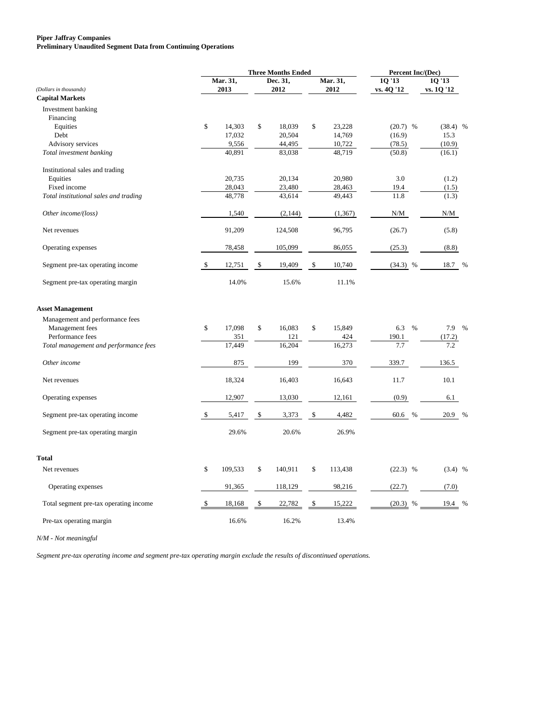#### **Piper Jaffray Companies Preliminary Unaudited Segment Data from Continuing Operations**

|                                        | <b>Three Months Ended</b> |          |    |          |    | Percent Inc/(Dec) |            |   |            |   |
|----------------------------------------|---------------------------|----------|----|----------|----|-------------------|------------|---|------------|---|
|                                        |                           | Mar. 31, |    | Dec. 31, |    | Mar. 31,          | 10'13      |   | 1Q '13     |   |
| (Dollars in thousands)                 |                           | 2013     |    | 2012     |    | 2012              | vs. 4Q '12 |   | vs. 1Q '12 |   |
| <b>Capital Markets</b>                 |                           |          |    |          |    |                   |            |   |            |   |
| Investment banking                     |                           |          |    |          |    |                   |            |   |            |   |
| Financing                              |                           |          |    |          |    |                   |            |   |            |   |
| Equities                               | \$                        | 14,303   | \$ | 18,039   | \$ | 23,228            | $(20.7)$ % |   | $(38.4)$ % |   |
| Debt                                   |                           | 17,032   |    | 20,504   |    | 14,769            | (16.9)     |   | 15.3       |   |
| Advisory services                      |                           | 9,556    |    | 44,495   |    | 10,722            | (78.5)     |   | (10.9)     |   |
| Total investment banking               |                           | 40,891   |    | 83,038   |    | 48,719            | (50.8)     |   | (16.1)     |   |
| Institutional sales and trading        |                           |          |    |          |    |                   |            |   |            |   |
| Equities                               |                           | 20,735   |    | 20,134   |    | 20,980            | 3.0        |   | (1.2)      |   |
| Fixed income                           |                           | 28,043   |    | 23,480   |    | 28,463            | 19.4       |   | (1.5)      |   |
| Total institutional sales and trading  |                           | 48,778   |    | 43,614   |    | 49,443            | 11.8       |   | (1.3)      |   |
| Other income/(loss)                    |                           | 1,540    |    | (2, 144) |    | (1,367)           | N/M        |   | N/M        |   |
| Net revenues                           |                           | 91,209   |    | 124,508  |    | 96,795            | (26.7)     |   | (5.8)      |   |
| Operating expenses                     |                           | 78,458   |    | 105,099  |    | 86,055            | (25.3)     |   | (8.8)      |   |
| Segment pre-tax operating income       | \$                        | 12,751   | \$ | 19,409   | \$ | 10,740            | $(34.3)$ % |   | 18.7 %     |   |
|                                        |                           |          |    |          |    |                   |            |   |            |   |
| Segment pre-tax operating margin       |                           | 14.0%    |    | 15.6%    |    | 11.1%             |            |   |            |   |
| <b>Asset Management</b>                |                           |          |    |          |    |                   |            |   |            |   |
| Management and performance fees        |                           |          |    |          |    |                   |            |   |            |   |
| Management fees                        | \$                        | 17,098   | \$ | 16,083   | \$ | 15,849            | 6.3        | % | 7.9 %      |   |
| Performance fees                       |                           | 351      |    | 121      |    | 424               | 190.1      |   | (17.2)     |   |
| Total management and performance fees  |                           | 17,449   |    | 16,204   |    | 16,273            | 7.7        |   | 7.2        |   |
| Other income                           |                           | 875      |    | 199      |    | 370               | 339.7      |   | 136.5      |   |
| Net revenues                           |                           | 18,324   |    | 16,403   |    | 16,643            | 11.7       |   | 10.1       |   |
| Operating expenses                     |                           | 12,907   |    | 13,030   |    | 12,161            | (0.9)      |   | 6.1        |   |
| Segment pre-tax operating income       | \$                        | 5,417    | \$ | 3,373    | \$ | 4,482             | 60.6 %     |   | 20.9 %     |   |
| Segment pre-tax operating margin       |                           | 29.6%    |    | 20.6%    |    | 26.9%             |            |   |            |   |
| <b>Total</b>                           |                           |          |    |          |    |                   |            |   |            |   |
| Net revenues                           | \$                        | 109,533  | \$ | 140,911  | \$ | 113,438           | $(22.3)$ % |   | $(3.4)$ %  |   |
| Operating expenses                     |                           | 91,365   |    | 118,129  |    | 98,216            | (22.7)     |   | (7.0)      |   |
| Total segment pre-tax operating income |                           | 18,168   |    | 22,782   | S  | 15,222            | (20.3)     | % | 19.4       | % |
| Pre-tax operating margin               |                           | 16.6%    |    | 16.2%    |    | 13.4%             |            |   |            |   |

*N/M - Not meaningful*

*Segment pre-tax operating income and segment pre-tax operating margin exclude the results of discontinued operations.*